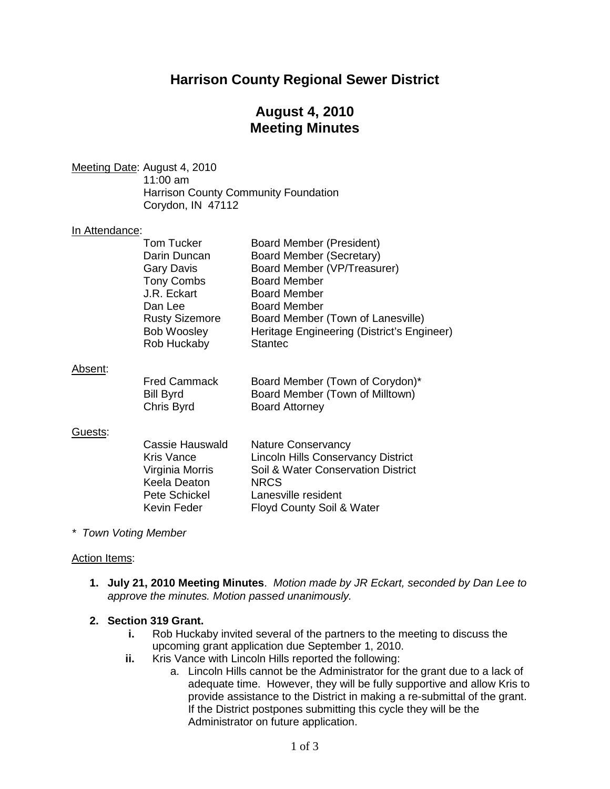## **Harrison County Regional Sewer District**

## **August 4, 2010 Meeting Minutes**

Meeting Date : August 4, 2010 11:00 am Harrison County Community Foundation Corydon, IN 47112

## In Attendance:

| <b>Tom Tucker</b>     | Board Member (President)                   |
|-----------------------|--------------------------------------------|
| Darin Duncan          | <b>Board Member (Secretary)</b>            |
| <b>Gary Davis</b>     | Board Member (VP/Treasurer)                |
| <b>Tony Combs</b>     | <b>Board Member</b>                        |
| J.R. Eckart           | <b>Board Member</b>                        |
| Dan Lee               | <b>Board Member</b>                        |
| <b>Rusty Sizemore</b> | Board Member (Town of Lanesville)          |
| <b>Bob Woosley</b>    | Heritage Engineering (District's Engineer) |
| Rob Huckaby           | <b>Stantec</b>                             |
|                       |                                            |
|                       |                                            |

#### Absent :

| <b>Fred Cammack</b> | Board Member (Town of Corydon)* |
|---------------------|---------------------------------|
| Bill Byrd           | Board Member (Town of Milltown) |
| Chris Byrd          | <b>Board Attorney</b>           |

### <u>Guests</u>:

| Cassie Hauswald   | <b>Nature Conservancy</b>                 |
|-------------------|-------------------------------------------|
| <b>Kris Vance</b> | <b>Lincoln Hills Conservancy District</b> |
| Virginia Morris   | Soil & Water Conservation District        |
| Keela Deaton      | <b>NRCS</b>                               |
| Pete Schickel     | Lanesville resident                       |
| Kevin Feder       | Floyd County Soil & Water                 |

#### *\* Town Voting Member*

#### Action Items:

**1. July 21, 2010 Meeting Minutes**. *Motion made by JR Eckart, seconded by Dan Lee to approve the minutes. Motion passed unanimously.*

#### **2. Section 319 Grant.**

- **i.** Rob Huckaby invited several of the partners to the meeting to discuss the upcoming grant application due September 1, 2010.
- **ii.** Kris Vance with Lincoln Hills reported the following:
	- a. Lincoln Hills cannot be the Administrator for the grant due to a lack of adequate time. However, they will be fully supportive and allow Kris to provide assistance to the District in making a re-submittal of the grant. If the District postpones submitting this cycle they will be the Administrator on future application.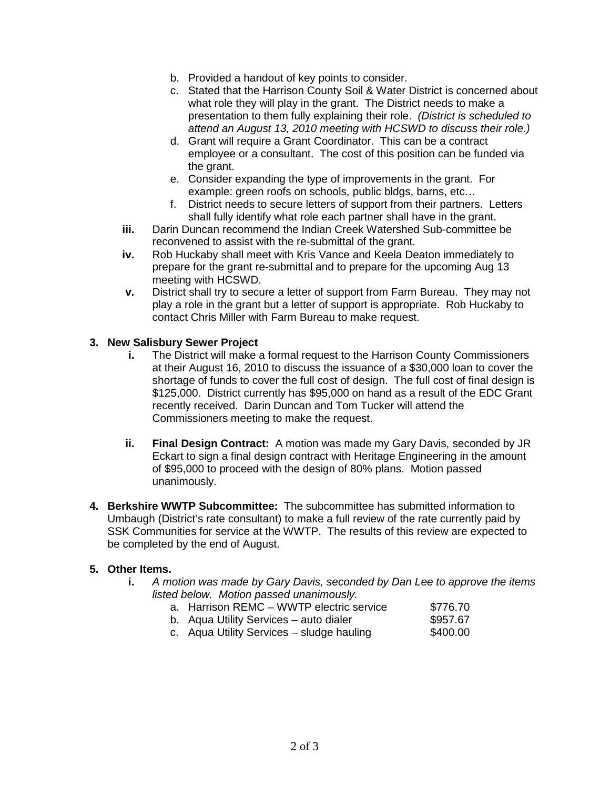- b. Provided a handout of key points to consider.
- c. Stated that the Harrison County Soil & Water District is concerned about what role they will play in the grant. The District needs to make a presentation to them fully explaining their role. *(District is scheduled to attend an August 13, 2010 meeting with HCSWD to discuss their role.)*
- d. Grant will require a Grant Coordinator. This can be a contract employee or a consultant. The cost of this position can be funded via the grant.
- e. Consider expanding the type of improvements in the grant. For example: green roofs on schools, public bldgs, barns, etc…
- f. District needs to secure letters of support from their partners. Letters shall fully identify what role each partner shall have in the grant.
- **iii.** Darin Duncan recommend the Indian Creek Watershed Sub-committee be reconvened to assist with the re-submittal of the grant.
- **iv.** Rob Huckaby shall meet with Kris Vance and Keela Deaton immediately to prepare for the grant re-submittal and to prepare for the upcoming Aug 13 meeting with HCSWD.
- **v.** District shall try to secure a letter of support from Farm Bureau. They may not play a role in the grant but a letter of support is appropriate. Rob Huckaby to contact Chris Miller with Farm Bureau to make request.

### **3. New Salisbury Sewer Project**

- **i.** The District will make a formal request to the Harrison County Commissioners at their August 16, 2010 to discuss the issuance of a \$30,000 loan to cover the shortage of funds to cover the full cost of design. The full cost of final design is \$125,000. District currently has \$95,000 on hand as a result of the EDC Grant recently received. Darin Duncan and Tom Tucker will attend the Commissioners meeting to make the request.
- **ii. Final Design Contract:** A motion was made my Gary Davis, seconded by JR Eckart to sign a final design contract with Heritage Engineering in the amount of \$95,000 to proceed with the design of 80% plans. Motion passed unanimously.
- **4. Berkshire WWTP Subcommittee:** The subcommittee has submitted information to Umbaugh (District's rate consultant) to make a full review of the rate currently paid by SSK Communities for service at the WWTP. The results of this review are expected to be completed by the end of August.

### **5. Other Items.**

- **i.** *A motion was made by Gary Davis, seconded by Dan Lee to approve the items listed below. Motion passed unanimously.*
	- a. Harrison REMC WWTP electric service  $$776.70$ <br>b. Aqua Utility Services auto dialer  $$957.67$
	- b. Aqua Utility Services auto dialer
	- c. Aqua Utility Services sludge hauling  $$400.00$